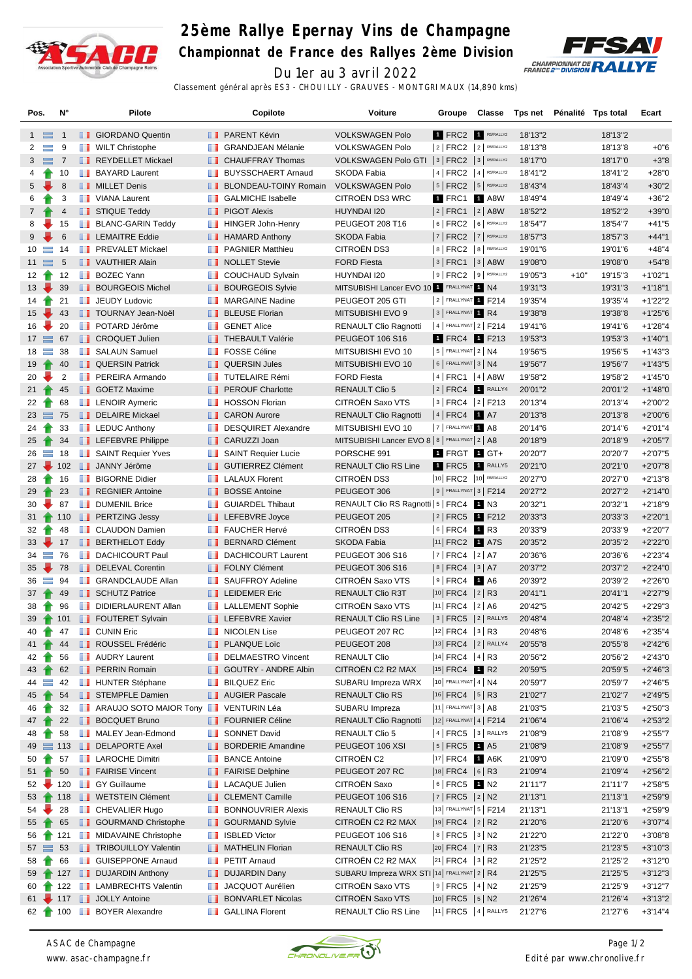

## **25ème Rallye Epernay Vins de Champagne**

**Championnat de France des Rallyes 2ème Division**



Du 1er au 3 avril 2022 Classement général après ES3 - CHOUILLY - GRAUVES - MONTGRIMAUX (14,890 kms)

| Pos.                    |                | $N^{\circ}$    |   | <b>Pilote</b>                                                            |          | Copilote                                     | Voiture                                               | Groupe                                        | Classe |                    | Tps net Pénalité Tps total |                    | Ecart                    |
|-------------------------|----------------|----------------|---|--------------------------------------------------------------------------|----------|----------------------------------------------|-------------------------------------------------------|-----------------------------------------------|--------|--------------------|----------------------------|--------------------|--------------------------|
| $1 \equiv$              |                | $\overline{1}$ |   | <b>B</b> GIORDANO Quentin                                                |          | <b>B</b> PARENT Kévin                        | <b>VOLKSWAGEN Polo</b>                                | <b>1 FRC2 R5/RALLY2</b>                       |        | 18'13"2            |                            | 18'13"2            |                          |
| $\overline{2}$          | $\equiv$       | 9              |   | <b>WILT Christophe</b>                                                   | ш        | <b>GRANDJEAN Mélanie</b>                     | <b>VOLKSWAGEN Polo</b>                                | $ 2 $ FRC2 $ 2 $ RS/RALLY2                    |        | 18'13"8            |                            | 18'13"8            | $+0"6$                   |
| 3                       | $\equiv$       | $\overline{7}$ |   | REYDELLET Mickael                                                        | ш        | <b>CHAUFFRAY Thomas</b>                      | VOLKSWAGEN Polo GTI   3   FRC2   3   R5/RALLY2        |                                               |        | 18'17"0            |                            | 18'17"0            | $+3"8$                   |
| 4                       | Ŧ              | 10             |   | <b>BAYARD Laurent</b>                                                    | ш        | <b>BUYSSCHAERT Arnaud</b>                    | SKODA Fabia                                           | $ 4 $ FRC2 $ 4 $ R5/RALLY2                    |        | 18'41"2            |                            | 18'41"2            | $+28"0$                  |
| 5                       |                | 8              |   | <b>NILLET</b> Denis                                                      | ш        | <b>BLONDEAU-TOINY Romain</b>                 | <b>VOLKSWAGEN Polo</b>                                | $ 5 $ FRC2 $ 5 $ RS/RALLY2                    |        | 18'43"4            |                            | 18'43"4            | $+30"2$                  |
| 6                       |                | 3              |   | VIANA Laurent                                                            | w        | <b>GALMICHE Isabelle</b>                     | CITROËN DS3 WRC                                       | 1 FRC1 1 A8W                                  |        | 18'49"4            |                            | 18'49"4            | $+36"2$                  |
| $7\overline{ }$         |                | 4              |   | STIQUE Teddy                                                             |          | <b>PIGOT Alexis</b>                          | HUYNDAI I20                                           | 2 FRC1 2 A8W                                  |        | 18'52"2            |                            | 18'52"2            | $+39"0$                  |
| 8                       |                | 15             |   | <b>BLANC-GARIN Teddy</b>                                                 | u        | HINGER John-Henry                            | PEUGEOT 208 T16                                       | 6   FRC2   6   R5/RALLY2                      |        | 18'54"7            |                            | 18'54"7            | $+41"5$                  |
| 9                       |                | $\,6$          |   | <b>LEMAITRE Eddie</b>                                                    |          | <b>HAMARD Anthony</b>                        | <b>SKODA Fabia</b>                                    | $7$   FRC2   $7$   RS/RALLY2                  |        | 18'57"3            |                            | 18'57"3            | $+44"1$                  |
| 10                      | $\equiv$       | 14             |   | <b>T</b> PREVALET Mickael                                                | ш        | <b>PAGNIER Matthieu</b>                      | CITROËN DS3                                           | 8   FRC2   8   R5/RALLY2                      |        | 19'01"6            |                            | 19'01"6            | $+48"4$                  |
| $11 \equiv$             |                | 5              |   | VAUTHIER Alain                                                           |          | NOLLET Stevie                                | <b>FORD Fiesta</b>                                    | 3   FRC1   3   A8W                            |        | 19'08"0            |                            | 19'08"0            | $+54"8$                  |
| 12 <sub>1</sub>         |                | 12             |   | <b>BOZEC Yann</b>                                                        | ш        | <b>COUCHAUD Sylvain</b>                      | HUYNDAI I20                                           | $9$ FRC2 $9$ RS/RALLY2                        |        | 19'05"3            | $+10"$                     | 19'15"3            | $+1'02"1$                |
| $13 \sqrt{ }$           |                | 39             |   | <b>BOURGEOIS Michel</b>                                                  | ш        | <b>BOURGEOIS Sylvie</b>                      | MITSUBISHI Lancer EVO 10 1 FRALLYNAT 1 N4             |                                               |        | 19'31"3            |                            | 19'31"3            | $+1'18"1$                |
| 14                      |                | 21             |   | <b>JEUDY Ludovic</b>                                                     | w        | <b>MARGAINE Nadine</b>                       | PEUGEOT 205 GTI                                       | 2 FRALLYNAT 1 F214                            |        | 19'35"4            |                            | 19'35"4            | $+1'22"2$                |
| $15 \sqrt{ }$           |                | 43             |   | <b>TOURNAY Jean-Noël</b>                                                 | ш        | <b>BLEUSE Florian</b>                        | MITSUBISHI EVO 9                                      | 3 FRALLYNAT 1 R4                              |        | 19'38"8            |                            | 19'38"8            | $+1'25"6$                |
| 16                      |                | 20             | ш | POTARD Jérôme                                                            | w        | <b>GENET Alice</b>                           | <b>RENAULT Clio Ragnotti</b>                          | 4   FRALLYNAT 2   F214                        |        | 19'41"6            |                            | 19'41"6            | $+1'28''4$               |
| $17 \equiv$             |                | 67             |   | <b>I</b> CROQUET Julien                                                  |          | <b>THEBAULT Valérie</b>                      | <b>PEUGEOT 106 S16</b>                                | 1 FRC4 1 F213                                 |        | 19'53"3            |                            | 19'53"3            | $+1'40''1$               |
| $18 \equiv$             |                | 38             |   | <b>B</b> SALAUN Samuel                                                   | w        | <b>FOSSE Céline</b>                          | MITSUBISHI EVO 10                                     | $5$ FRALLYNAT $2$ N4                          |        | 19'56"5            |                            | 19'56"5            | $+1'43''3$               |
| 19                      |                | 40             |   | <b>QUERSIN Patrick</b>                                                   |          | <b>QUERSIN Jules</b>                         | MITSUBISHI EVO 10                                     | $6$ FRALLYNAT 3   N4                          |        | 19'56"7            |                            | 19'56"7            | $+1'43"5$                |
| 20                      |                | 2              |   | <b>FEREIRA Armando</b>                                                   | ш        | <b>TUTELAIRE Rémi</b>                        | <b>FORD Fiesta</b>                                    | 4   FRC1   4   A8W                            |        | 19'58"2            |                            | 19'58"2            | $+1'45"0$                |
| $21 \quad \rightarrow$  |                | 45             |   | <b>SOETZ Maxime</b>                                                      | ш        | <b>PEROUF Charlotte</b>                      | <b>RENAULT Clio 5</b>                                 | $2$ FRC4 <b>1</b> RALLY4                      |        | 20'01"2            |                            | 20'01"2            | $+1'48"0$                |
| 22                      |                | 68             |   | <b>LENOIR Aymeric</b>                                                    | . .      | <b>HOSSON Florian</b>                        | CITROËN Saxo VTS                                      | 3   FRC4   2   F213                           |        | 20'13"4            |                            | 20'13"4            | $+2'00"2$                |
| $23 \equiv$             |                | 75             |   | DELAIRE Mickael                                                          |          | <b>CARON Aurore</b>                          | <b>RENAULT Clio Ragnotti</b>                          | 4 FRC4 1 A7                                   |        | 20'13"8            |                            | 20'13"8            | $+2'00"6$                |
| $24 \rightarrow$        |                | 33             |   | <b>EXECUTE LEDUC Anthony</b>                                             |          | <b>DESQUIRET Alexandre</b>                   | MITSUBISHI EVO 10                                     | 7 FRALLYNAT 1 A8                              |        | 20'14"6            |                            | 20'14"6            | $+2'01''4$               |
| 25                      |                | 34             |   | LEFEBVRE Philippe                                                        | ш        | CARUZZI Joan                                 | MITSUBISHI Lancer EVO 8 8   FRALLYNAT 2   A8          |                                               |        | 20'18"9            |                            | 20'18"9            | $+2'05"7$                |
| 26                      | $\equiv$       | 18             |   | SAINT Requier Yves                                                       | ш        | <b>SAINT Requier Lucie</b>                   | PORSCHE 991                                           | 1 FRGT 1 GT+                                  |        | 20'20"7            |                            | 20'20"7            | $+2'07"5$                |
| $27 -$                  |                | 102            |   | JANNY Jérôme                                                             | ш        | <b>GUTIERREZ Clément</b>                     | <b>RENAULT Clio RS Line</b>                           | 1 FRC5 1 RALLY5                               |        | 20'21"0            |                            | 20'21"0            | $+2'07"8$                |
| 28                      |                | 16             |   | <b>BIGORNE Didier</b>                                                    | m        | <b>LALAUX Florent</b>                        | CITROËN DS3                                           | 10 FRC2 10 R5/RALLY2                          |        | 20'27"0            |                            | 20'27"0            | $+2'13''8$               |
| 29                      |                | 23             |   | <b>REGNIER Antoine</b>                                                   |          | <b>BOSSE Antoine</b>                         | PEUGEOT 306                                           | $9$ FRALLYNAT $3$ F214                        |        | 20'27"2            |                            | 20'27"2            | $+2'14"0$                |
| 30                      |                | 87             |   | <b>DUMENIL Brice</b>                                                     |          | <b>GUIARDEL Thibaut</b>                      | RENAULT Clio RS Ragnotti   5   FRC4 1 N3              |                                               |        | 20'32"1            |                            | 20'32"1            | $+2'18''9$               |
| $31 \quad \rightarrow$  |                | 110            |   | <b>PERTZING Jessy</b>                                                    | ш        | LEFEBVRE Joyce                               | PEUGEOT 205                                           | 2 FRC5 1 F212                                 |        | 20'33"3            |                            | 20'33"3            | $+2'20"1$                |
| 32                      |                | 48             |   | <b>CLAUDON Damien</b>                                                    | ш        | <b>FAUCHER Hervé</b>                         | CITROËN DS3                                           | $ 6 $ FRC4 1 R3                               |        | 20'33"9            |                            | 20'33"9            | $+2'20"7$                |
| $33 \rightarrow$        |                | 17             |   | <b>BERTHELOT Eddy</b>                                                    | ш        | <b>BERNARD Clément</b>                       | <b>SKODA Fabia</b>                                    | 11 FRC2 1 A7S                                 |        | 20'35"2            |                            | 20'35"2            | $+2'22"0$                |
| $34 =$                  |                | 76             |   | <b>DACHICOURT Paul</b>                                                   | w        | <b>DACHICOURT Laurent</b>                    | <b>PEUGEOT 306 S16</b>                                | 7   FRC4   2   A7                             |        | 20'36"6            |                            | 20'36"6            | $+2'23''4$               |
| 35                      |                | 78             |   | DELEVAL Corentin                                                         |          | <b>FOLNY Clément</b>                         | PEUGEOT 306 S16                                       | $ 8 $ FRC4 $ 3 $ A7                           |        | 20'37"2            |                            | 20'37"2            | $+2'24"0$                |
| 36                      | $\equiv$       | 94             | ш | <b>GRANDCLAUDE Allan</b>                                                 | ш        | SAUFFROY Adeline                             | CITROËN Saxo VTS                                      | $ 9 $ FRC4 1 A6                               |        | 20'39"2            |                            | 20'39"2            | $+2'26"0$                |
| $37 +$                  |                | 49             |   | SCHUTZ Patrice                                                           |          | <b>LEIDEMER Eric</b>                         | RENAULT Clio R3T                                      | $ 10 $ FRC4 $ 2 $ R3                          |        | 20'41"1            |                            | 20'41"1            | $+2'27''9$               |
| 38                      |                | 96             |   | DIDIERLAURENT Allan                                                      |          | <b>LALLEMENT Sophie</b>                      | CITROËN Saxo VTS                                      | $ 11 $ FRC4 $ 2 $ A6                          |        | 20'42"5            |                            | 20'42"5            | $+2'29"3$                |
| $39 +$                  |                | 101            |   | <b>FOUTERET Sylvain</b>                                                  |          | <b>LEFEBVRE Xavier</b>                       | <b>RENAULT Clio RS Line</b>                           | $ 3 $ FRC5 $ 2 $ RALLY5                       |        | 20'48"4            |                            | 20'48"4            | $+2'35"2$                |
| 40                      | $\blacksquare$ | 47             |   | <b>D</b> CUNIN Eric                                                      |          | <b>NICOLEN Lise</b>                          | PEUGEOT 207 RC                                        | $ 12 $ FRC4 $ 3 $ R3                          |        | 20'48"6            |                            | 20'48"6            | $+2'35''4$               |
| 41 1                    |                | 44             |   | ROUSSEL Frédéric                                                         |          | <b>PLANQUE Loïc</b>                          | PEUGEOT 208                                           | 13 FRC4 2 RALLY4                              |        | 20'55"8            |                            | 20'55"8            | $+2'42"6$                |
| 42                      |                | 56             |   | <b>AUDRY Laurent</b>                                                     | u u      | <b>DELMAESTRO Vincent</b>                    | <b>RENAULT Clio</b>                                   | $ 14 $ FRC4 $ 4 $ R3                          |        | 20'56"2            |                            | 20'56"2            | $+2'43"0$                |
| 43                      |                | 62             |   | <b>FRAIN Romain</b>                                                      |          | GOUTRY - ANDRE Albin                         | CITROËN C2 R2 MAX                                     | 15 FRC4 1 R2                                  |        | 20'59"5            |                            | 20'59"5            | $+2'46''3$               |
| $44 =$                  |                | 42             |   | <b>HUNTER Stéphane</b>                                                   | ш        | <b>BILQUEZ Eric</b>                          | SUBARU Impreza WRX                                    | $10$ FRALLYNAT 4   N4<br>$ 16 $ FRC4 $ 5 $ R3 |        | 20'59"7            |                            | 20'59"7            | $+2'46''5$               |
| 45                      |                | 54             |   | STEMPFLE Damien<br><b>EXECUTE: ARAUJO SOTO MAIOR Tony LIVENTURIN Léa</b> |          | <b>AUGIER Pascale</b>                        | RENAULT Clio RS                                       | 11 FRALLYNAT 3   A8                           |        | 21'02"7            |                            | 21'02"7            | $+2'49''5$               |
| 46                      |                | 32             |   |                                                                          |          |                                              | SUBARU Impreza                                        | 12 FRALLYNAT 4   F214                         |        | 21'03"5<br>21'06"4 |                            | 21'03"5            | $+2'50''3$               |
| 47 <sup>1</sup><br>48   |                | 22<br>58       |   | <b>BOCQUET Bruno</b><br>MALEY Jean-Edmond                                |          | <b>FOURNIER Céline</b><br>SONNET David       | <b>RENAULT Clio Ragnotti</b><br><b>RENAULT Clio 5</b> | 4   <b>FRC5</b>   3   RALLY5                  |        | 21'08"9            |                            | 21'06"4<br>21'08"9 | $+2'53''2$<br>$+2'55"7$  |
|                         |                |                |   | DELAPORTE Axel                                                           | ш        | <b>BORDERIE Amandine</b>                     | PEUGEOT 106 XSI                                       | $ 5 $ FRC5 1 A5                               |        |                    |                            | 21'08"9            |                          |
| $49 \equiv 113$         |                | 57             |   | <b>LAROCHE Dimitri</b>                                                   | w        | <b>BANCE Antoine</b>                         | CITROËN C2                                            | 17 FRC4 1 A6K                                 |        | 21'08"9            |                            | 21'09"0            | $+2'55"7$                |
| 50                      | Ŧ              | 50             |   |                                                                          |          | <b>FAIRISE Delphine</b>                      | PEUGEOT 207 RC                                        | 18 FRC4   6   R3                              |        | 21'09"0            |                            |                    | $+2'55"8$<br>$+2'56''2$  |
| 51<br>$52 -$            |                | 120            |   | <b>FAIRISE Vincent</b><br><b>B</b> GY Guillaume                          |          | <b>LE</b> LACAQUE Julien                     | CITROËN Saxo                                          | $ 6 $ FRC5 1 N2                               |        | 21'09"4<br>21'11"7 |                            | 21'09"4<br>21'11"7 | $+2'58"5$                |
|                         |                |                |   |                                                                          |          |                                              | PEUGEOT 106 S16                                       | $ 7 $ FRC5 $ 2 $ N2                           |        |                    |                            |                    |                          |
| $53$ <del>1</del><br>54 |                | 118<br>28      |   | <b>NETSTEIN Clément</b><br><b>CHEVALIER Hugo</b>                         |          | CLEMENT Camille<br><b>BONNOUVRIER Alexis</b> | RENAULT Clio RS                                       | 13 FRALLYNAT 5   F214                         |        | 21'13"1<br>21'13"1 |                            | 21'13"1<br>21'13"1 | $+2'59''9$<br>$+2'59''9$ |
| 55                      |                | 65             |   | <b>SOURMAND Christophe</b>                                               | u u<br>ш | <b>GOURMAND Sylvie</b>                       | CITROËN C2 R2 MAX                                     | 19 FRC4 2 R2                                  |        | 21'20"6            |                            | 21'20"6            | $+3'07''4$               |
| 56                      |                | 121            |   | <b>MIDAVAINE Christophe</b>                                              | ш        | <b>ISBLED Victor</b>                         | PEUGEOT 106 S16                                       | 8 FRC5 3 N2                                   |        | 21'22"0            |                            | 21'22"0            | $+3'08"8$                |
| $57 \equiv 53$          |                |                |   | <b>TRIBOUILLOY Valentin</b>                                              |          | <b>NATHELIN Florian</b>                      | RENAULT Clio RS                                       | 20 FRC4   7   R3                              |        | 21'23"5            |                            | 21'23"5            | $+3'10''3$               |
| 58                      |                | 66             |   | <b>B</b> GUISEPPONE Arnaud                                               | ш        | <b>PETIT Arnaud</b>                          | CITROËN C2 R2 MAX                                     | 21 FRC4 3 R2                                  |        | 21'25"2            |                            | 21'25"2            | $+3'12"0$                |
| 59                      |                |                |   | 127 <b>DUJARDIN Anthony</b>                                              |          | <b>DUJARDIN Dany</b>                         | SUBARU Impreza WRX STI 14 FRALLYNAT 2   R4            |                                               |        | 21'25"5            |                            | 21'25"5            | $+3'12"3$                |
| 60                      |                | 122            |   | <b>LAMBRECHTS Valentin</b>                                               | u u      | JACQUOT Aurélien                             | CITROËN Saxo VTS                                      | 9 FRC5 4 N2                                   |        | 21'25"9            |                            | 21'25"9            | $+3'12"7$                |
|                         |                |                |   | 61 117 JOLLY Antoine                                                     |          | <b>BONVARLET Nicolas</b>                     | CITROËN Saxo VTS                                      | 10  FRC5   5   N2                             |        | 21'26"4            |                            | 21'26"4            | $+3'13''2$               |
| 62 <sub>1</sub>         |                | 100            |   | <b>BOYER Alexandre</b>                                                   | ш        | <b>GALLINA Florent</b>                       | RENAULT Clio RS Line                                  | 11 FRC5   4   RALLY5                          |        | 21'27"6            |                            | 21'27"6            | $+3'14''4$               |